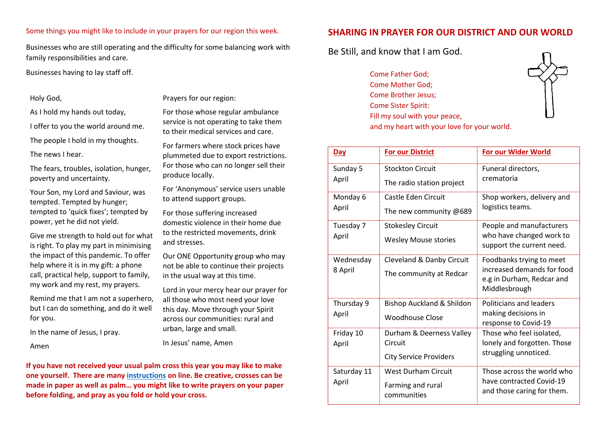#### Some things you might like to include in your prayers for our region this week.

Businesses who are still operating and the difficulty for some balancing work with family responsibilities and care.

Businesses having to lay staff off.

#### Holy God,

As I hold my hands out today,

I offer to you the world around me.

The people I hold in my thoughts.

The news I hear.

The fears, troubles, isolation, hunger, poverty and uncertainty.

Your Son, my Lord and Saviour, was tempted. Tempted by hunger; tempted to 'quick fixes'; tempted by power, yet he did not yield.

Give me strength to hold out for what is right. To play my part in minimising the impact of this pandemic. To offer help where it is in my gift: a phone call, practical help, support to family, my work and my rest, my prayers.

Remind me that I am not a superhero, but I can do something, and do it well for you.

In the name of Jesus, I pray.

Amen

Prayers for our region:

For those whose regular ambulance service is not operating to take them to their medical services and care.

For farmers where stock prices have plummeted due to export restrictions. For those who can no longer sell their produce locally.

For 'Anonymous' service users unable to attend support groups.

For those suffering increased domestic violence in their home due to the restricted movements, drink and stresses.

Our ONE Opportunity group who may not be able to continue their projects in the usual way at this time.

Lord in your mercy hear our prayer for all those who most need your love this day. Move through your Spirit across our communities: rural and urban, large and small.

In Jesus' name, Amen

**If you have not received your usual palm cross this year you may like to make one yourself. There are many [instructions](http://www.just4kidsmagazine.com/rainbowcastle/palmcross.html) on line. Be creative, crosses can be made in paper as well as palm… you might like to write prayers on your paper before folding, and pray as you fold or hold your cross.**

#### **SHARING IN PRAYER FOR OUR DISTRICT AND OUR WORLD**

and my heart with your love for your world.

Be Still, and know that I am God.

Come Father God; Come Mother God; Come Brother Jesus; Come Sister Spirit: Fill my soul with your peace,



| Day                  | <b>For our District</b>                                              | <b>For our Wider World</b>                                                                           |
|----------------------|----------------------------------------------------------------------|------------------------------------------------------------------------------------------------------|
| Sunday 5<br>April    | <b>Stockton Circuit</b><br>The radio station project                 | Funeral directors,<br>crematoria                                                                     |
| Monday 6<br>April    | Castle Eden Circuit<br>The new community @689                        | Shop workers, delivery and<br>logistics teams.                                                       |
| Tuesday 7<br>April   | <b>Stokesley Circuit</b><br><b>Wesley Mouse stories</b>              | People and manufacturers<br>who have changed work to<br>support the current need.                    |
| Wednesday<br>8 April | Cleveland & Danby Circuit<br>The community at Redcar                 | Foodbanks trying to meet<br>increased demands for food<br>e.g in Durham, Redcar and<br>Middlesbrough |
| Thursday 9<br>April  | Bishop Auckland & Shildon<br><b>Woodhouse Close</b>                  | Politicians and leaders<br>making decisions in<br>response to Covid-19                               |
| Friday 10<br>April   | Durham & Deerness Valley<br>Circuit<br><b>City Service Providers</b> | Those who feel isolated,<br>lonely and forgotten. Those<br>struggling unnoticed.                     |
| Saturday 11<br>April | <b>West Durham Circuit</b><br>Farming and rural<br>communities       | Those across the world who<br>have contracted Covid-19<br>and those caring for them.                 |